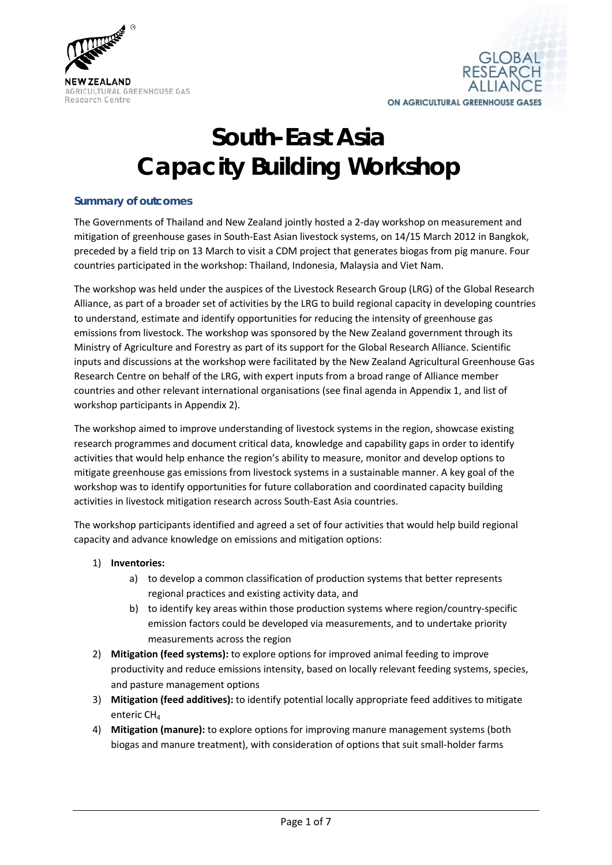



# **South-East Asia Capacity Building Workshop**

#### **Summary of outcomes**

The Governments of Thailand and New Zealand jointly hosted a 2-day workshop on measurement and mitigation of greenhouse gases in South-East Asian livestock systems, on 14/15 March 2012 in Bangkok, preceded by a field trip on 13 March to visit a CDM project that generates biogas from pig manure. Four countries participated in the workshop: Thailand, Indonesia, Malaysia and Viet Nam.

The workshop was held under the auspices of the Livestock Research Group (LRG) of the Global Research Alliance, as part of a broader set of activities by the LRG to build regional capacity in developing countries to understand, estimate and identify opportunities for reducing the intensity of greenhouse gas emissions from livestock. The workshop was sponsored by the New Zealand government through its Ministry of Agriculture and Forestry as part of its support for the Global Research Alliance. Scientific inputs and discussions at the workshop were facilitated by the New Zealand Agricultural Greenhouse Gas Research Centre on behalf of the LRG, with expert inputs from a broad range of Alliance member countries and other relevant international organisations (see final agenda in Appendix 1, and list of workshop participants in Appendix 2).

The workshop aimed to improve understanding of livestock systems in the region, showcase existing research programmes and document critical data, knowledge and capability gaps in order to identify activities that would help enhance the region's ability to measure, monitor and develop options to mitigate greenhouse gas emissions from livestock systems in a sustainable manner. A key goal of the workshop was to identify opportunities for future collaboration and coordinated capacity building activities in livestock mitigation research across South-East Asia countries.

The workshop participants identified and agreed a set of four activities that would help build regional capacity and advance knowledge on emissions and mitigation options:

#### 1) **Inventories:**

- a) to develop a common classification of production systems that better represents regional practices and existing activity data, and
- b) to identify key areas within those production systems where region/country-specific emission factors could be developed via measurements, and to undertake priority measurements across the region
- 2) **Mitigation (feed systems):** to explore options for improved animal feeding to improve productivity and reduce emissions intensity, based on locally relevant feeding systems, species, and pasture management options
- 3) **Mitigation (feed additives):** to identify potential locally appropriate feed additives to mitigate enteric CH<sub>4</sub>
- 4) **Mitigation (manure):** to explore options for improving manure management systems (both biogas and manure treatment), with consideration of options that suit small-holder farms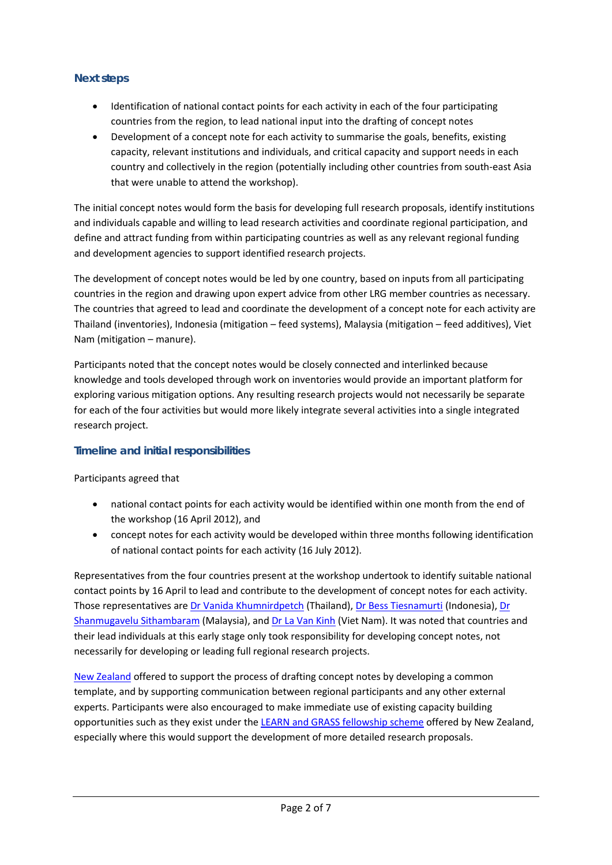### **Next steps**

- Identification of national contact points for each activity in each of the four participating countries from the region, to lead national input into the drafting of concept notes
- Development of a concept note for each activity to summarise the goals, benefits, existing capacity, relevant institutions and individuals, and critical capacity and support needs in each country and collectively in the region (potentially including other countries from south-east Asia that were unable to attend the workshop).

The initial concept notes would form the basis for developing full research proposals, identify institutions and individuals capable and willing to lead research activities and coordinate regional participation, and define and attract funding from within participating countries as well as any relevant regional funding and development agencies to support identified research projects.

The development of concept notes would be led by one country, based on inputs from all participating countries in the region and drawing upon expert advice from other LRG member countries as necessary. The countries that agreed to lead and coordinate the development of a concept note for each activity are Thailand (inventories), Indonesia (mitigation – feed systems), Malaysia (mitigation – feed additives), Viet Nam (mitigation – manure).

Participants noted that the concept notes would be closely connected and interlinked because knowledge and tools developed through work on inventories would provide an important platform for exploring various mitigation options. Any resulting research projects would not necessarily be separate for each of the four activities but would more likely integrate several activities into a single integrated research project.

### **Timeline and initial responsibilities**

Participants agreed that

- national contact points for each activity would be identified within one month from the end of the workshop (16 April 2012), and
- concept notes for each activity would be developed within three months following identification of national contact points for each activity (16 July 2012).

Representatives from the four countries present at the workshop undertook to identify suitable national contact points by 16 April to lead and contribute to the development of concept notes for each activity. Those representatives are [Dr Vanida Khumnirdpetch](mailto:khum.vanida@gmail.com) (Thailand), [Dr Bess Tiesnamurti](mailto:besstiesnamurti@yahoo.com) (Indonesia), [Dr](mailto:shan@mardi.gov.my)  [Shanmugavelu Sithambaram](mailto:shan@mardi.gov.my) (Malaysia), an[d Dr La Van Kinh](mailto:kinh.lv@iasvn.org) (Viet Nam). It was noted that countries and their lead individuals at this early stage only took responsibility for developing concept notes, not necessarily for developing or leading full regional research projects.

[New Zealand](mailto:enquiry@nzagrc.org.nz) offered to support the process of drafting concept notes by developing a common template, and by supporting communication between regional participants and any other external experts. Participants were also encouraged to make immediate use of existing capacity building opportunities such as they exist under the [LEARN and GRASS fellowship scheme](http://www.livestockemissions.net/funding-opportunities.html) offered by New Zealand, especially where this would support the development of more detailed research proposals.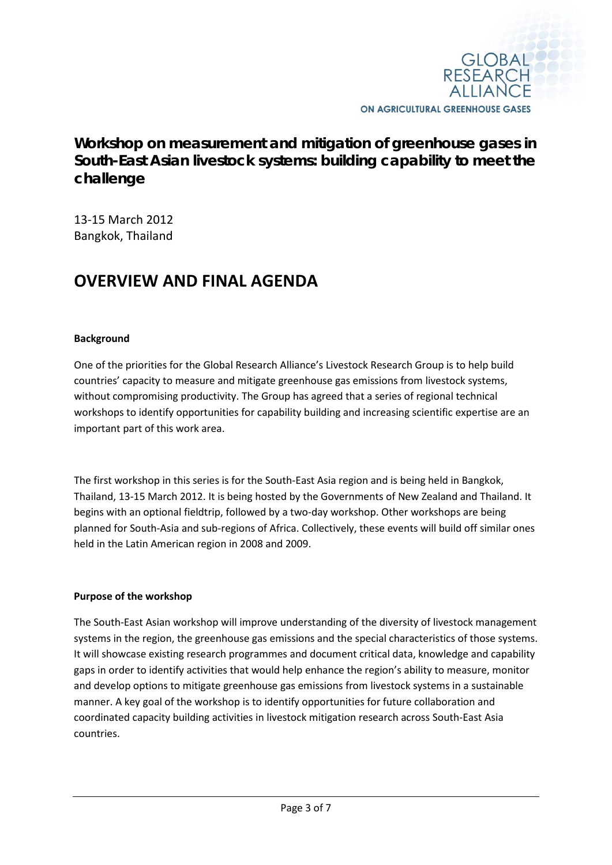

### **Workshop on measurement and mitigation of greenhouse gases in South-East Asian livestock systems: building capability to meet the challenge**

13-15 March 2012 Bangkok, Thailand

### **OVERVIEW AND FINAL AGENDA**

#### **Background**

One of the priorities for the Global Research Alliance's Livestock Research Group is to help build countries' capacity to measure and mitigate greenhouse gas emissions from livestock systems, without compromising productivity. The Group has agreed that a series of regional technical workshops to identify opportunities for capability building and increasing scientific expertise are an important part of this work area.

The first workshop in this series is for the South-East Asia region and is being held in Bangkok, Thailand, 13-15 March 2012. It is being hosted by the Governments of New Zealand and Thailand. It begins with an optional fieldtrip, followed by a two-day workshop. Other workshops are being planned for South-Asia and sub-regions of Africa. Collectively, these events will build off similar ones held in the Latin American region in 2008 and 2009.

#### **Purpose of the workshop**

The South-East Asian workshop will improve understanding of the diversity of livestock management systems in the region, the greenhouse gas emissions and the special characteristics of those systems. It will showcase existing research programmes and document critical data, knowledge and capability gaps in order to identify activities that would help enhance the region's ability to measure, monitor and develop options to mitigate greenhouse gas emissions from livestock systems in a sustainable manner. A key goal of the workshop is to identify opportunities for future collaboration and coordinated capacity building activities in livestock mitigation research across South-East Asia countries.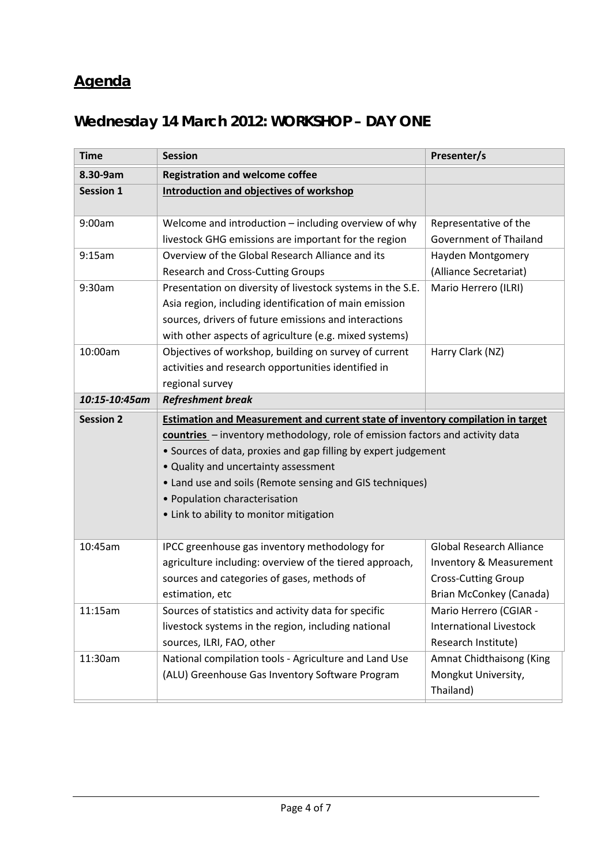### **Agenda**

## **Wednesday 14 March 2012: WORKSHOP – DAY ONE**

| <b>Time</b>      | <b>Session</b>                                                                            | Presenter/s                     |  |
|------------------|-------------------------------------------------------------------------------------------|---------------------------------|--|
| 8.30-9am         | <b>Registration and welcome coffee</b>                                                    |                                 |  |
| <b>Session 1</b> | <b>Introduction and objectives of workshop</b>                                            |                                 |  |
|                  |                                                                                           |                                 |  |
| 9:00am           | Welcome and introduction $-$ including overview of why                                    | Representative of the           |  |
|                  | livestock GHG emissions are important for the region                                      | Government of Thailand          |  |
| 9:15am           | Overview of the Global Research Alliance and its                                          | Hayden Montgomery               |  |
|                  | <b>Research and Cross-Cutting Groups</b>                                                  | (Alliance Secretariat)          |  |
| 9:30am           | Presentation on diversity of livestock systems in the S.E.                                | Mario Herrero (ILRI)            |  |
|                  | Asia region, including identification of main emission                                    |                                 |  |
|                  | sources, drivers of future emissions and interactions                                     |                                 |  |
|                  | with other aspects of agriculture (e.g. mixed systems)                                    |                                 |  |
| 10:00am          | Objectives of workshop, building on survey of current                                     | Harry Clark (NZ)                |  |
|                  | activities and research opportunities identified in                                       |                                 |  |
|                  | regional survey                                                                           |                                 |  |
| 10:15-10:45am    | <b>Refreshment break</b>                                                                  |                                 |  |
| <b>Session 2</b> | <b>Estimation and Measurement and current state of inventory compilation in target</b>    |                                 |  |
|                  | countries - inventory methodology, role of emission factors and activity data             |                                 |  |
|                  | • Sources of data, proxies and gap filling by expert judgement                            |                                 |  |
|                  | • Quality and uncertainty assessment                                                      |                                 |  |
|                  | • Land use and soils (Remote sensing and GIS techniques)<br>• Population characterisation |                                 |  |
|                  |                                                                                           |                                 |  |
|                  | • Link to ability to monitor mitigation                                                   |                                 |  |
|                  |                                                                                           |                                 |  |
| 10:45am          | IPCC greenhouse gas inventory methodology for                                             | <b>Global Research Alliance</b> |  |
|                  | agriculture including: overview of the tiered approach,                                   | Inventory & Measurement         |  |
|                  | sources and categories of gases, methods of                                               | <b>Cross-Cutting Group</b>      |  |
|                  | estimation, etc                                                                           | Brian McConkey (Canada)         |  |
| 11:15am          | Sources of statistics and activity data for specific                                      | Mario Herrero (CGIAR -          |  |
|                  | livestock systems in the region, including national                                       | <b>International Livestock</b>  |  |
|                  | sources, ILRI, FAO, other                                                                 | Research Institute)             |  |
| 11:30am          | National compilation tools - Agriculture and Land Use                                     | Amnat Chidthaisong (King        |  |
|                  | (ALU) Greenhouse Gas Inventory Software Program                                           | Mongkut University,             |  |
|                  |                                                                                           | Thailand)                       |  |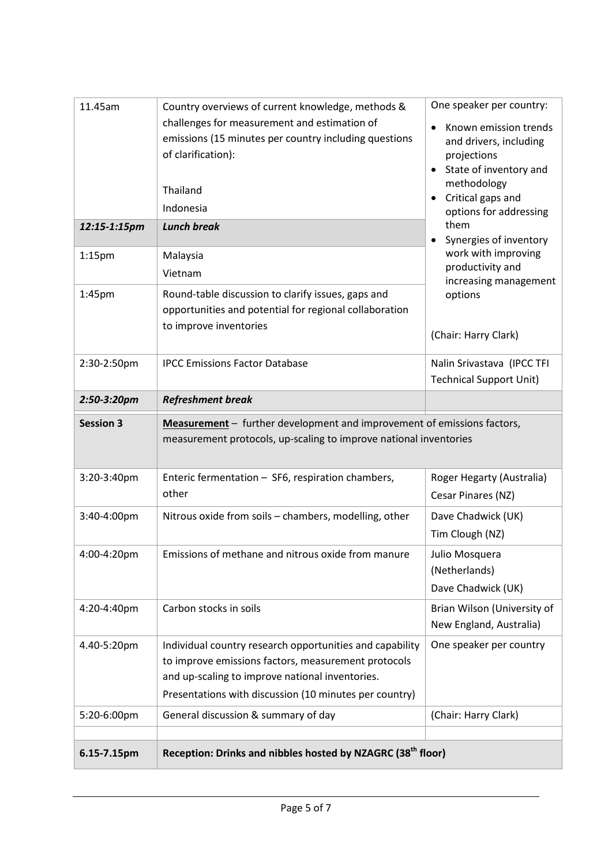| 11.45am            | Country overviews of current knowledge, methods &                              | One speaker per country:                        |  |
|--------------------|--------------------------------------------------------------------------------|-------------------------------------------------|--|
|                    | challenges for measurement and estimation of                                   |                                                 |  |
|                    | emissions (15 minutes per country including questions                          | Known emission trends<br>and drivers, including |  |
|                    | of clarification):                                                             | projections                                     |  |
|                    |                                                                                | State of inventory and                          |  |
|                    | Thailand                                                                       | methodology                                     |  |
|                    | Indonesia                                                                      | Critical gaps and                               |  |
| 12:15-1:15pm       | <b>Lunch break</b>                                                             | options for addressing<br>them                  |  |
|                    |                                                                                | Synergies of inventory                          |  |
| 1:15 <sub>pm</sub> | Malaysia                                                                       | work with improving                             |  |
|                    | Vietnam                                                                        | productivity and                                |  |
| 1:45 <sub>pm</sub> | Round-table discussion to clarify issues, gaps and                             | increasing management<br>options                |  |
|                    | opportunities and potential for regional collaboration                         |                                                 |  |
|                    | to improve inventories                                                         |                                                 |  |
|                    |                                                                                | (Chair: Harry Clark)                            |  |
| 2:30-2:50pm        | <b>IPCC Emissions Factor Database</b>                                          | Nalin Srivastava (IPCC TFI                      |  |
|                    |                                                                                | <b>Technical Support Unit)</b>                  |  |
| 2:50-3:20pm        | <b>Refreshment break</b>                                                       |                                                 |  |
| <b>Session 3</b>   | <b>Measurement</b> – further development and improvement of emissions factors, |                                                 |  |
|                    | measurement protocols, up-scaling to improve national inventories              |                                                 |  |
|                    |                                                                                |                                                 |  |
| 3:20-3:40pm        | Enteric fermentation - SF6, respiration chambers,                              | Roger Hegarty (Australia)                       |  |
|                    | other                                                                          | Cesar Pinares (NZ)                              |  |
| 3:40-4:00pm        | Nitrous oxide from soils - chambers, modelling, other                          | Dave Chadwick (UK)                              |  |
|                    |                                                                                | Tim Clough (NZ)                                 |  |
| 4:00-4:20pm        | Emissions of methane and nitrous oxide from manure                             | Julio Mosquera                                  |  |
|                    |                                                                                | (Netherlands)                                   |  |
|                    |                                                                                | Dave Chadwick (UK)                              |  |
| 4:20-4:40pm        | Carbon stocks in soils                                                         | Brian Wilson (University of                     |  |
|                    |                                                                                | New England, Australia)                         |  |
| 4.40-5:20pm        | Individual country research opportunities and capability                       | One speaker per country                         |  |
|                    | to improve emissions factors, measurement protocols                            |                                                 |  |
|                    | and up-scaling to improve national inventories.                                |                                                 |  |
|                    | Presentations with discussion (10 minutes per country)                         |                                                 |  |
| 5:20-6:00pm        | General discussion & summary of day                                            | (Chair: Harry Clark)                            |  |
|                    |                                                                                |                                                 |  |
| 6.15-7.15pm        | Reception: Drinks and nibbles hosted by NZAGRC (38 <sup>th</sup> floor)        |                                                 |  |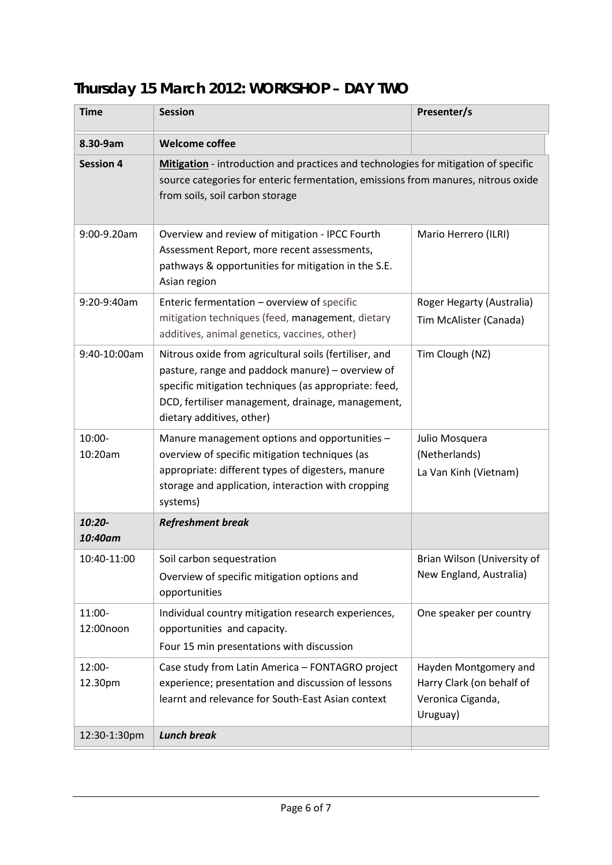### **Thursday 15 March 2012: WORKSHOP – DAY TWO**

| <b>Time</b>           | <b>Session</b>                                                                                                                                                                                                                                        | Presenter/s                                                                         |
|-----------------------|-------------------------------------------------------------------------------------------------------------------------------------------------------------------------------------------------------------------------------------------------------|-------------------------------------------------------------------------------------|
| 8.30-9am              | <b>Welcome coffee</b>                                                                                                                                                                                                                                 |                                                                                     |
| <b>Session 4</b>      | Mitigation - introduction and practices and technologies for mitigation of specific<br>source categories for enteric fermentation, emissions from manures, nitrous oxide<br>from soils, soil carbon storage                                           |                                                                                     |
| 9:00-9.20am           | Overview and review of mitigation - IPCC Fourth<br>Assessment Report, more recent assessments,<br>pathways & opportunities for mitigation in the S.E.<br>Asian region                                                                                 | Mario Herrero (ILRI)                                                                |
| 9:20-9:40am           | Enteric fermentation - overview of specific<br>mitigation techniques (feed, management, dietary<br>additives, animal genetics, vaccines, other)                                                                                                       | Roger Hegarty (Australia)<br>Tim McAlister (Canada)                                 |
| 9:40-10:00am          | Nitrous oxide from agricultural soils (fertiliser, and<br>pasture, range and paddock manure) - overview of<br>specific mitigation techniques (as appropriate: feed,<br>DCD, fertiliser management, drainage, management,<br>dietary additives, other) | Tim Clough (NZ)                                                                     |
| 10:00-<br>10:20am     | Manure management options and opportunities -<br>overview of specific mitigation techniques (as<br>appropriate: different types of digesters, manure<br>storage and application, interaction with cropping<br>systems)                                | Julio Mosquera<br>(Netherlands)<br>La Van Kinh (Vietnam)                            |
| 10:20-<br>10:40am     | <b>Refreshment break</b>                                                                                                                                                                                                                              |                                                                                     |
| 10:40-11:00           | Soil carbon sequestration<br>Overview of specific mitigation options and<br>opportunities                                                                                                                                                             | Brian Wilson (University of<br>New England, Australia)                              |
| $11:00-$<br>12:00noon | Individual country mitigation research experiences,<br>opportunities and capacity.<br>Four 15 min presentations with discussion                                                                                                                       | One speaker per country                                                             |
| 12:00-<br>12.30pm     | Case study from Latin America - FONTAGRO project<br>experience; presentation and discussion of lessons<br>learnt and relevance for South-East Asian context                                                                                           | Hayden Montgomery and<br>Harry Clark (on behalf of<br>Veronica Ciganda,<br>Uruguay) |
| 12:30-1:30pm          | <b>Lunch break</b>                                                                                                                                                                                                                                    |                                                                                     |